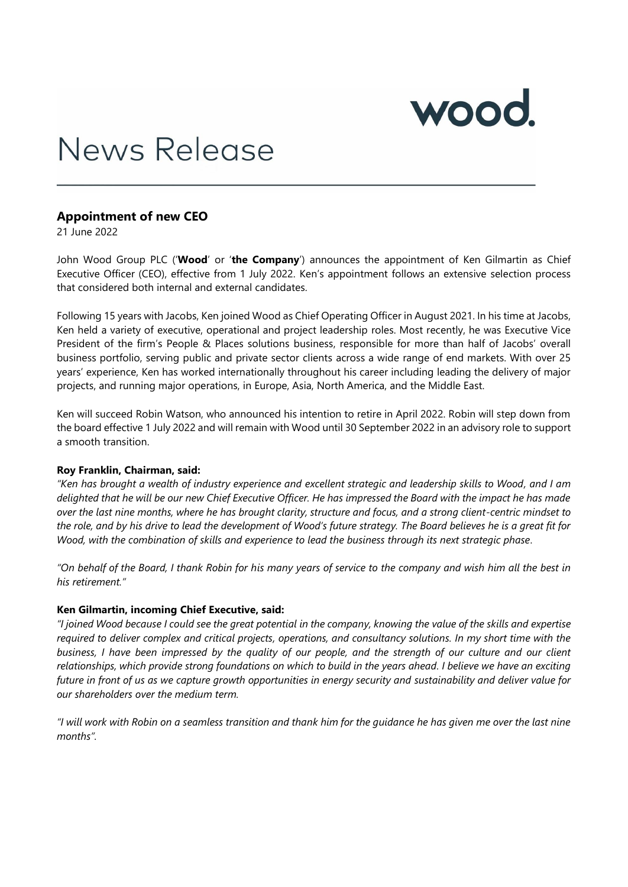

# News Release

## **Appointment of new CEO**

21 June 2022

John Wood Group PLC ('**Wood**' or '**the Company**') announces the appointment of Ken Gilmartin as Chief Executive Officer (CEO), effective from 1 July 2022. Ken's appointment follows an extensive selection process that considered both internal and external candidates.

Following 15 years with Jacobs, Ken joined Wood as Chief Operating Officer in August 2021. In his time at Jacobs, Ken held a variety of executive, operational and project leadership roles. Most recently, he was Executive Vice President of the firm's People & Places solutions business, responsible for more than half of Jacobs' overall business portfolio, serving public and private sector clients across a wide range of end markets. With over 25 years' experience, Ken has worked internationally throughout his career including leading the delivery of major projects, and running major operations, in Europe, Asia, North America, and the Middle East.

Ken will succeed Robin Watson, who announced his intention to retire in April 2022. Robin will step down from the board effective 1 July 2022 and will remain with Wood until 30 September 2022 in an advisory role to support a smooth transition.

#### **Roy Franklin, Chairman, said:**

*"Ken has brought a wealth of industry experience and excellent strategic and leadership skills to Wood, and I am delighted that he will be our new Chief Executive Officer. He has impressed the Board with the impact he has made over the last nine months, where he has brought clarity, structure and focus, and a strong client-centric mindset to the role, and by his drive to lead the development of Wood's future strategy. The Board believes he is a great fit for Wood, with the combination of skills and experience to lead the business through its next strategic phase.*

*"On behalf of the Board, I thank Robin for his many years of service to the company and wish him all the best in his retirement."*

#### **Ken Gilmartin, incoming Chief Executive, said:**

*"I joined Wood because I could see the great potential in the company, knowing the value of the skills and expertise required to deliver complex and critical projects, operations, and consultancy solutions. In my short time with the business, I have been impressed by the quality of our people, and the strength of our culture and our client relationships, which provide strong foundations on which to build in the years ahead. I believe we have an exciting future in front of us as we capture growth opportunities in energy security and sustainability and deliver value for our shareholders over the medium term.*

*"I will work with Robin on a seamless transition and thank him for the guidance he has given me over the last nine months".*